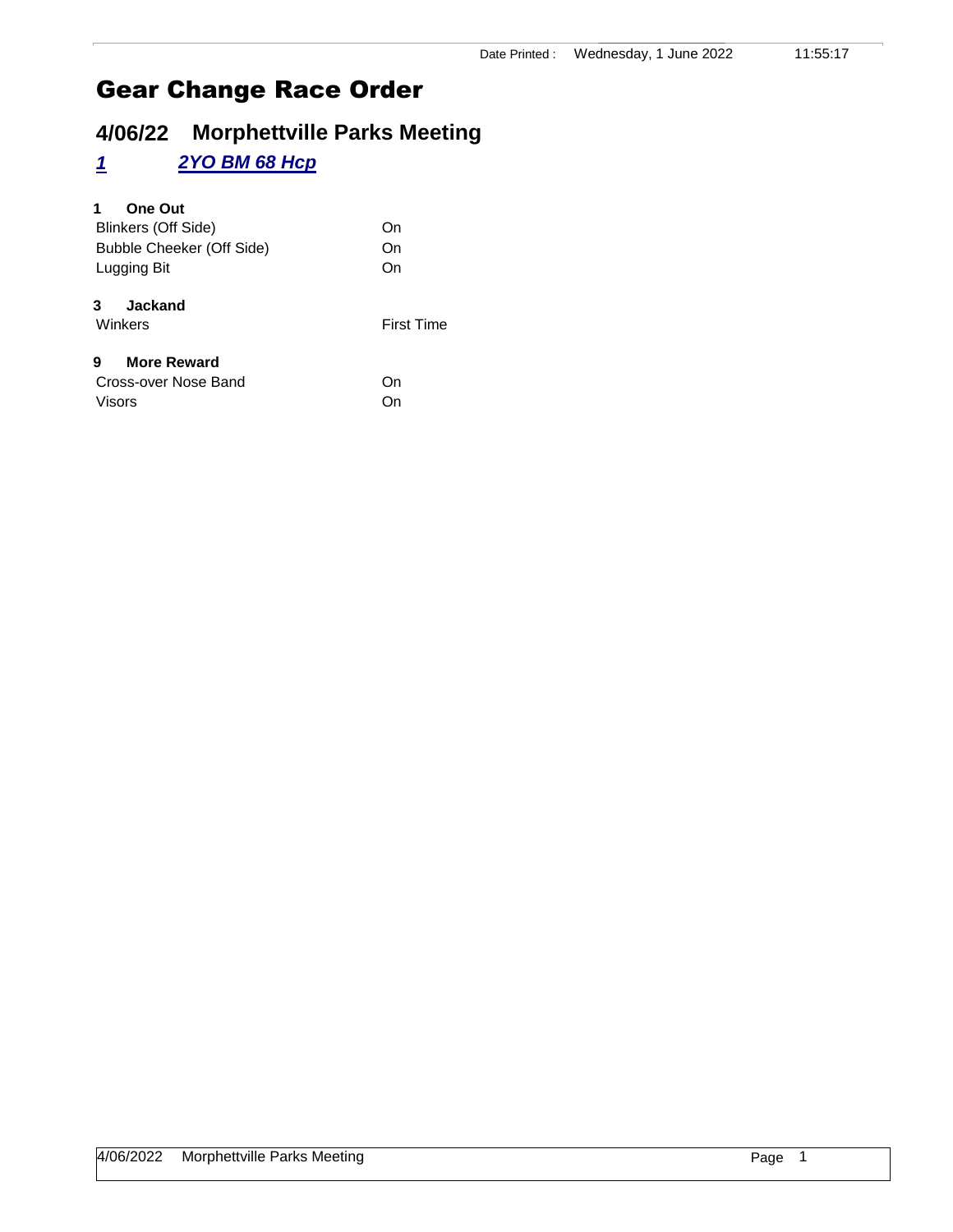# **4/06/22 Morphettville Parks Meeting**

#### *1 2YO BM 68 Hcp*

#### **1 One Out**

| Blinkers (Off Side)       | On |
|---------------------------|----|
| Bubble Cheeker (Off Side) | On |
| Lugging Bit               | On |
| <b>Jackand</b><br>3       |    |

# Winkers **First Time**

#### **9 More Reward**

| Cross-over Nose Band | On |
|----------------------|----|
| Visors               | On |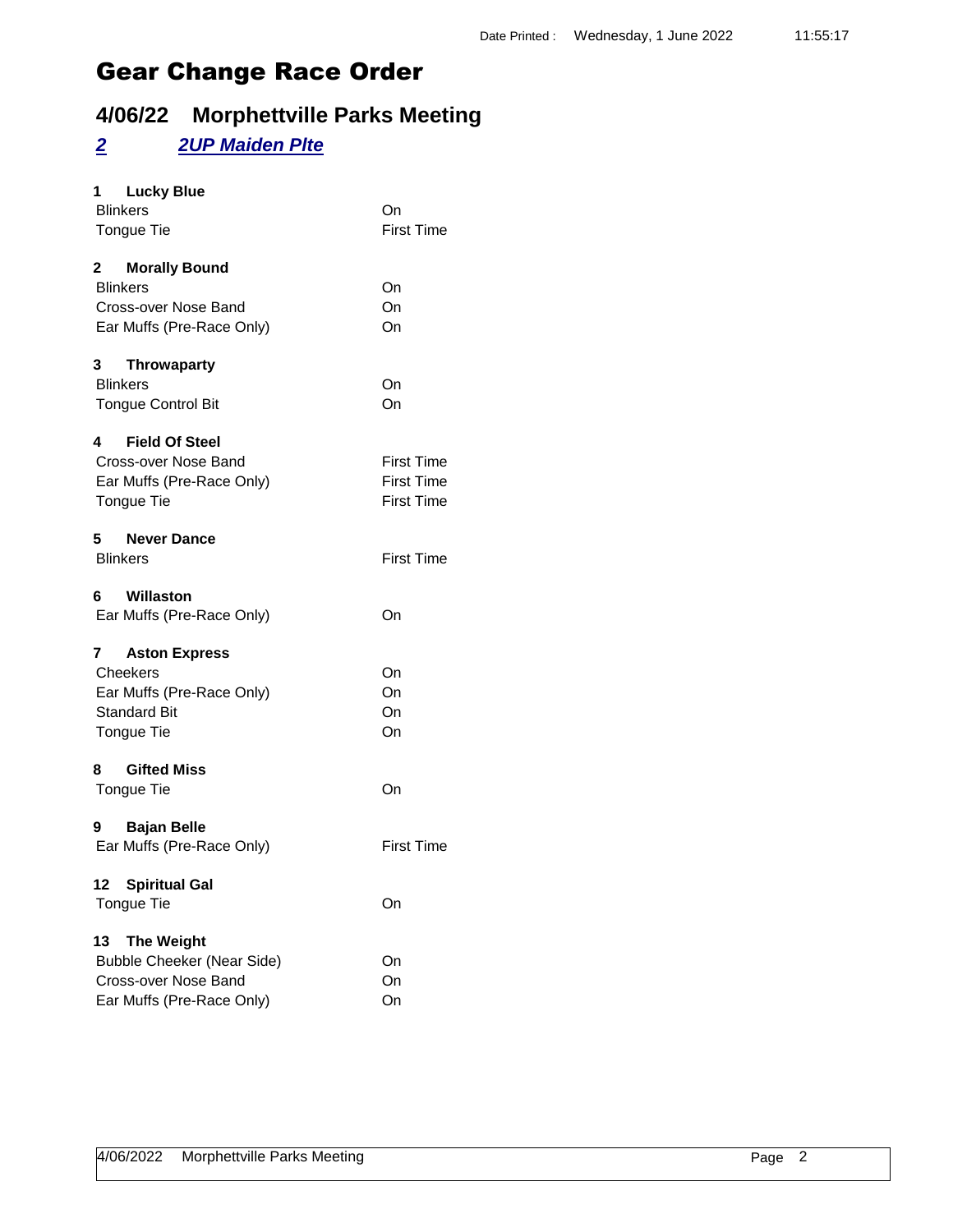## **4/06/22 Morphettville Parks Meeting**

#### *2 2UP Maiden Plte*

| 1 Lucky Blue<br><b>Blinkers</b><br>Tongue Tie                                                                     | On<br><b>First Time</b>                                     |
|-------------------------------------------------------------------------------------------------------------------|-------------------------------------------------------------|
| 2 Morally Bound<br><b>Blinkers</b><br>Cross-over Nose Band<br>Ear Muffs (Pre-Race Only)                           | On<br>On<br>On                                              |
| 3<br><b>Throwaparty</b><br><b>Blinkers</b><br><b>Tongue Control Bit</b>                                           | On<br>On                                                    |
| 4 Field Of Steel<br>Cross-over Nose Band<br>Ear Muffs (Pre-Race Only)<br>Tongue Tie                               | <b>First Time</b><br><b>First Time</b><br><b>First Time</b> |
| 5 Never Dance<br><b>Blinkers</b>                                                                                  | <b>First Time</b>                                           |
| Willaston<br>6.<br>Ear Muffs (Pre-Race Only)                                                                      | On                                                          |
| <b>Aston Express</b><br>7<br>Cheekers<br>Ear Muffs (Pre-Race Only)<br><b>Standard Bit</b><br>Tongue Tie           | On<br>On<br>On<br>On                                        |
| <b>Gifted Miss</b><br>8<br>Tongue Tie                                                                             | On                                                          |
| 9 Bajan Belle<br>Ear Muffs (Pre-Race Only)                                                                        | <b>First Time</b>                                           |
| 12 Spiritual Gal<br>Tongue Tie                                                                                    | On                                                          |
| <b>The Weight</b><br>13<br><b>Bubble Cheeker (Near Side)</b><br>Cross-over Nose Band<br>Ear Muffs (Pre-Race Only) | On<br>On<br>On                                              |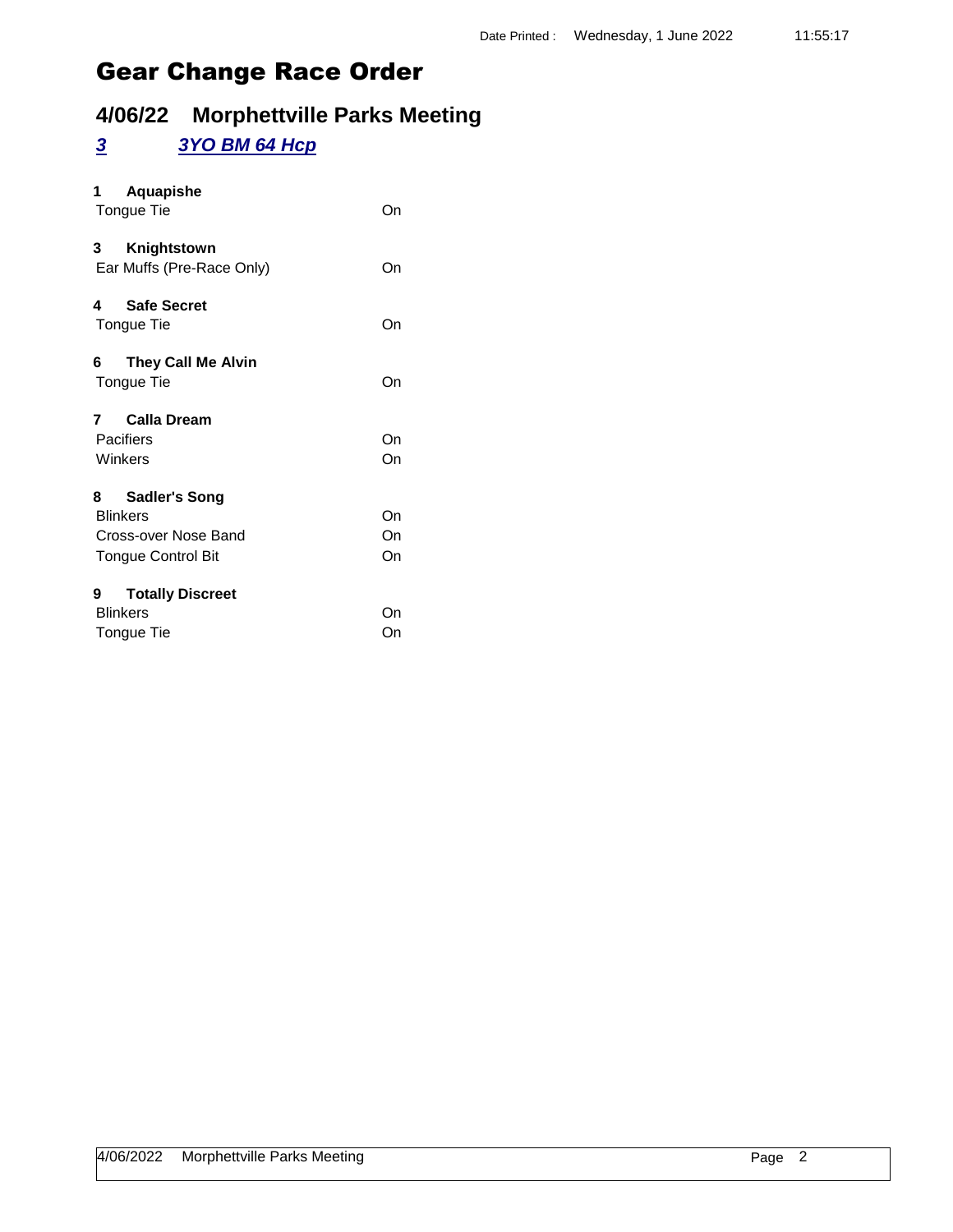## **4/06/22 Morphettville Parks Meeting**

#### *3 3YO BM 64 Hcp*

| Aquapishe<br>1<br>Tongue Tie                                                                      | On             |
|---------------------------------------------------------------------------------------------------|----------------|
| 3<br>Knightstown<br>Ear Muffs (Pre-Race Only)                                                     | On             |
| <b>Safe Secret</b><br>4<br>Tongue Tie                                                             | On             |
| 6<br><b>They Call Me Alvin</b><br>Tongue Tie                                                      | On             |
| <b>Calla Dream</b><br>7<br>Pacifiers<br>Winkers                                                   | On<br>On       |
| 8<br><b>Sadler's Song</b><br><b>Blinkers</b><br>Cross-over Nose Band<br><b>Tongue Control Bit</b> | On<br>On<br>On |
| <b>Totally Discreet</b><br>9<br><b>Blinkers</b><br>Tongue Tie                                     | On<br>On       |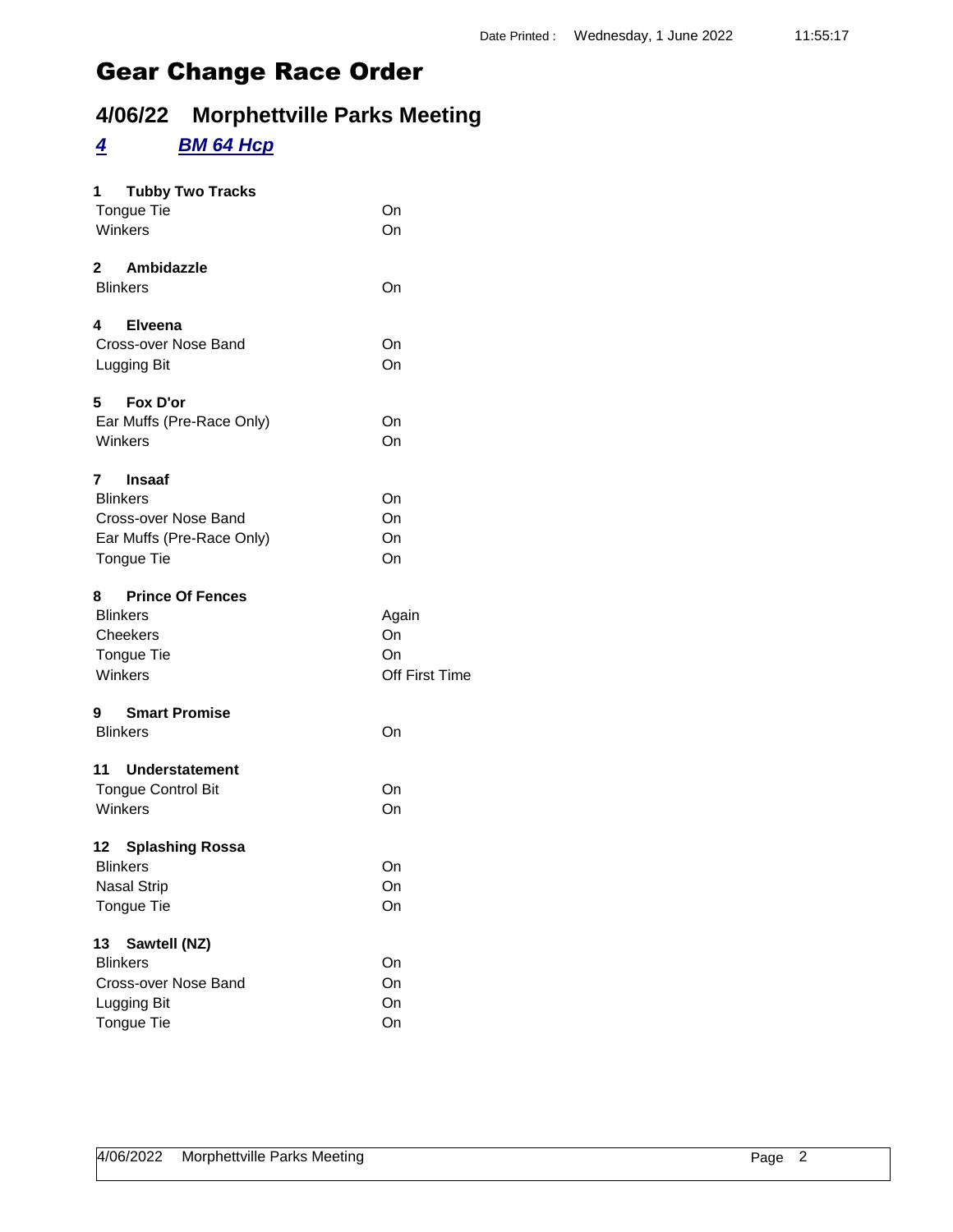## **4/06/22 Morphettville Parks Meeting**

#### *4 BM 64 Hcp*

| <b>Tubby Two Tracks</b><br>1<br>Tongue Tie<br>Winkers                                                    | On<br>On                            |
|----------------------------------------------------------------------------------------------------------|-------------------------------------|
| 2 Ambidazzle<br><b>Blinkers</b>                                                                          | On                                  |
| 4 Elveena<br>Cross-over Nose Band<br>Lugging Bit                                                         | On<br>On                            |
| 5 Fox D'or<br>Ear Muffs (Pre-Race Only)<br>Winkers                                                       | On<br>On                            |
| 7<br><b>Insaaf</b><br><b>Blinkers</b><br>Cross-over Nose Band<br>Ear Muffs (Pre-Race Only)<br>Tongue Tie | On<br>On<br>On<br>On                |
| 8 Prince Of Fences<br><b>Blinkers</b><br>Cheekers<br><b>Tongue Tie</b><br>Winkers                        | Again<br>On<br>On<br>Off First Time |
| 9 Smart Promise<br><b>Blinkers</b>                                                                       | On                                  |
| 11 Understatement<br><b>Tongue Control Bit</b><br>Winkers                                                | On<br>On                            |
| 12 Splashing Rossa<br><b>Blinkers</b><br>Nasal Strip<br>Tongue Tie                                       | On<br>On<br>On                      |
| Sawtell (NZ)<br>13<br><b>Blinkers</b><br>Cross-over Nose Band<br>Lugging Bit<br>Tongue Tie               | On<br>On<br>On<br>On                |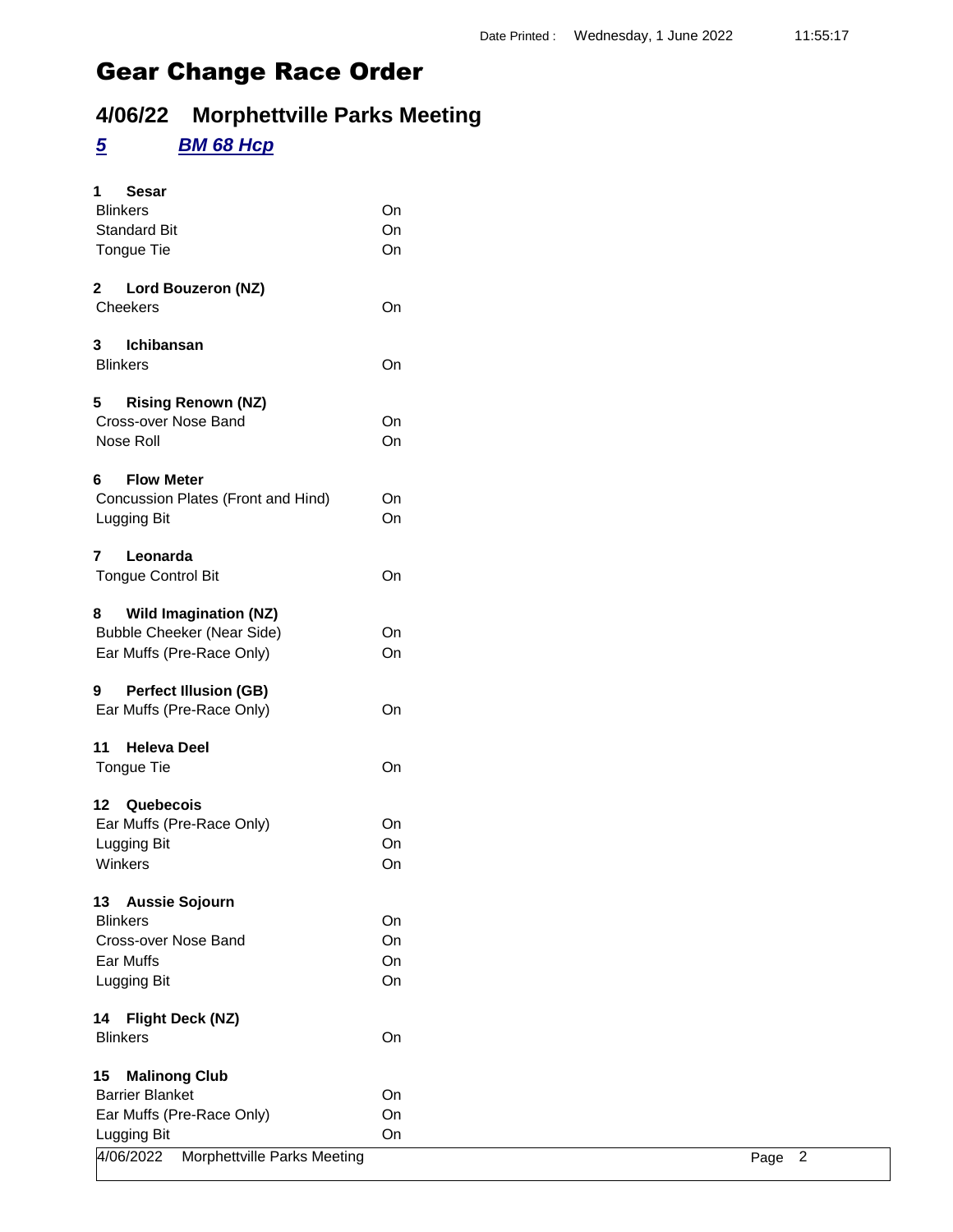## **4/06/22 Morphettville Parks Meeting**

### *5 BM 68 Hcp*

|                                                            |          |  | Page 2 |  |
|------------------------------------------------------------|----------|--|--------|--|
| Lugging Bit<br>4/06/2022<br>Morphettville Parks Meeting    |          |  |        |  |
| Ear Muffs (Pre-Race Only)                                  | On<br>On |  |        |  |
| <b>Barrier Blanket</b>                                     | On       |  |        |  |
| <b>Malinong Club</b><br>15                                 |          |  |        |  |
|                                                            |          |  |        |  |
| <b>Blinkers</b>                                            | On       |  |        |  |
| <b>Flight Deck (NZ)</b><br>14                              |          |  |        |  |
| Lugging Bit                                                | On       |  |        |  |
| Ear Muffs                                                  | On       |  |        |  |
| Cross-over Nose Band                                       | On       |  |        |  |
| <b>Blinkers</b>                                            | On       |  |        |  |
| 13 Aussie Sojourn                                          |          |  |        |  |
|                                                            |          |  |        |  |
| Winkers                                                    | On       |  |        |  |
| Lugging Bit                                                | On       |  |        |  |
| Quebecois<br>12 <sup>12</sup><br>Ear Muffs (Pre-Race Only) | On       |  |        |  |
|                                                            |          |  |        |  |
| Tongue Tie                                                 | On       |  |        |  |
| <b>Heleva Deel</b><br>11                                   |          |  |        |  |
| Ear Muffs (Pre-Race Only)                                  | On       |  |        |  |
| <b>Perfect Illusion (GB)</b><br>9                          |          |  |        |  |
| Ear Muffs (Pre-Race Only)                                  | On       |  |        |  |
| <b>Bubble Cheeker (Near Side)</b>                          | On       |  |        |  |
| <b>Wild Imagination (NZ)</b><br>8                          |          |  |        |  |
|                                                            |          |  |        |  |
| $\overline{7}$<br>Leonarda<br><b>Tongue Control Bit</b>    | On       |  |        |  |
|                                                            |          |  |        |  |
| Lugging Bit                                                | On       |  |        |  |
| Concussion Plates (Front and Hind)                         | On       |  |        |  |
| <b>Flow Meter</b><br>6                                     |          |  |        |  |
| Nose Roll                                                  | On       |  |        |  |
| Cross-over Nose Band                                       | On       |  |        |  |
| <b>Rising Renown (NZ)</b><br>5                             |          |  |        |  |
|                                                            |          |  |        |  |
| <b>Blinkers</b>                                            | On       |  |        |  |
| Ichibansan<br>3                                            |          |  |        |  |
| Cheekers                                                   | On       |  |        |  |
| $\mathbf{2}$<br>Lord Bouzeron (NZ)                         |          |  |        |  |
| Tongue Tie                                                 | On       |  |        |  |
| <b>Standard Bit</b>                                        | On       |  |        |  |
| <b>Blinkers</b>                                            | On       |  |        |  |
| 1<br><b>Sesar</b>                                          |          |  |        |  |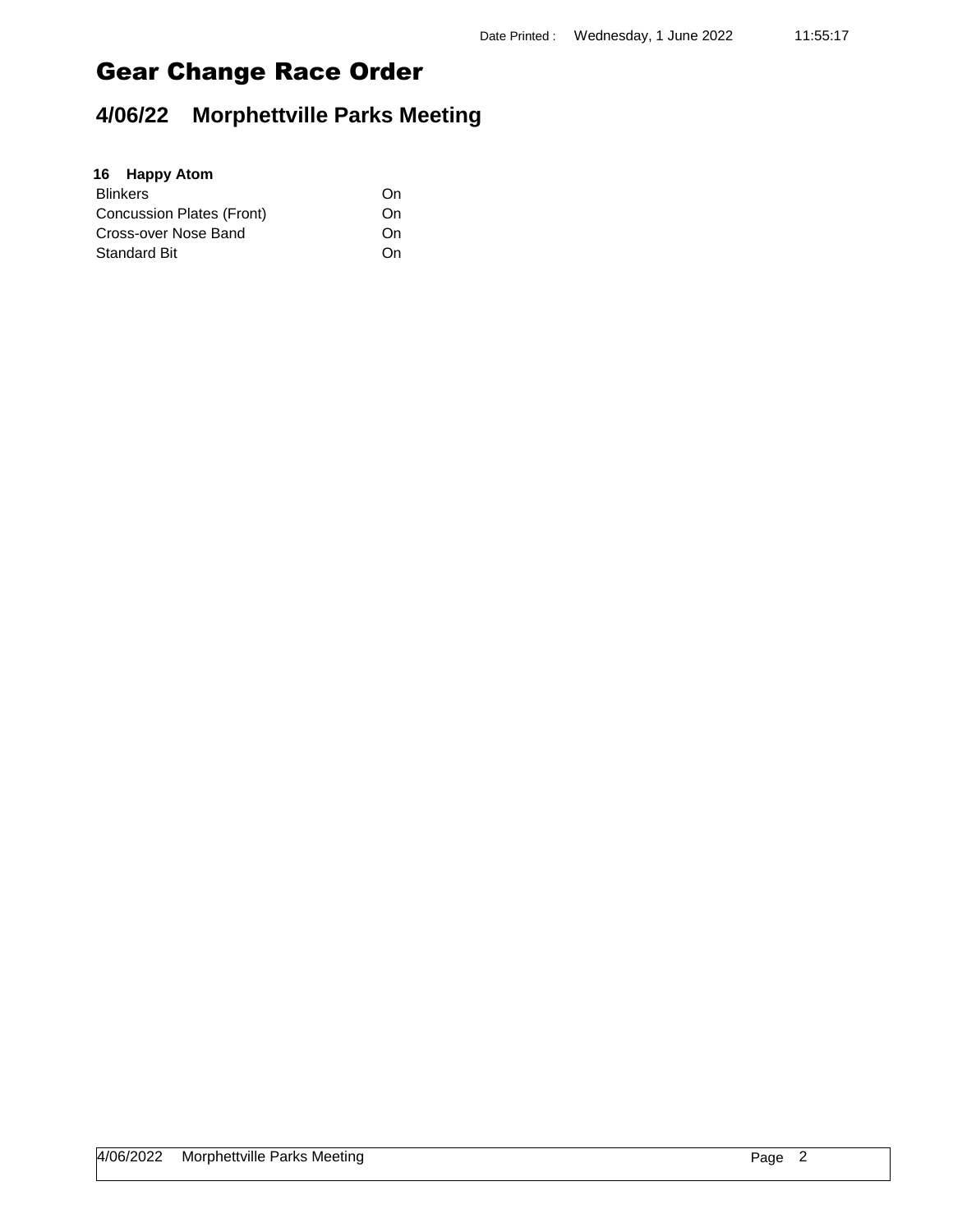# **4/06/22 Morphettville Parks Meeting**

| 16 Happy Atom             |    |
|---------------------------|----|
| <b>Blinkers</b>           | On |
| Concussion Plates (Front) | On |
| Cross-over Nose Band      | On |
| <b>Standard Bit</b>       | On |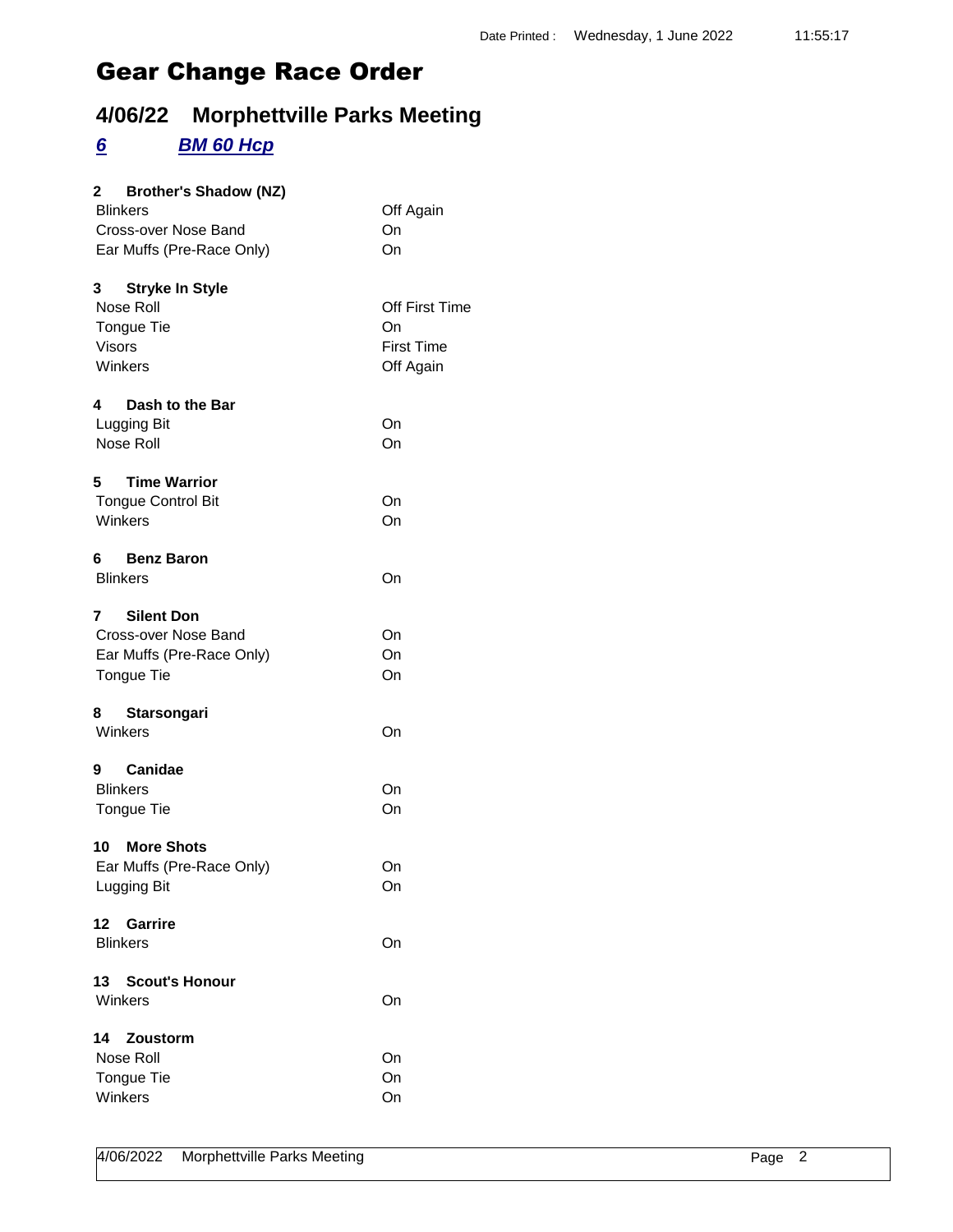## **4/06/22 Morphettville Parks Meeting**

#### *6 BM 60 Hcp*

| 2 Brother's Shadow (NZ)     |                   |
|-----------------------------|-------------------|
| <b>Blinkers</b>             | Off Again         |
| Cross-over Nose Band        | On                |
| Ear Muffs (Pre-Race Only)   | On                |
|                             |                   |
| 3 Stryke In Style           |                   |
| Nose Roll                   | Off First Time    |
| Tongue Tie                  | On                |
| <b>Visors</b>               | <b>First Time</b> |
| Winkers                     | Off Again         |
|                             |                   |
| 4 Dash to the Bar           |                   |
| Lugging Bit                 | On                |
| Nose Roll                   | On                |
| 5 Time Warrior              |                   |
| <b>Tongue Control Bit</b>   | On                |
| Winkers                     | On                |
|                             |                   |
| 6.<br><b>Benz Baron</b>     |                   |
| <b>Blinkers</b>             | On                |
| <b>Silent Don</b><br>7      |                   |
| Cross-over Nose Band        | On                |
|                             | On                |
| Ear Muffs (Pre-Race Only)   |                   |
| Tongue Tie                  | On                |
| <b>Starsongari</b><br>8     |                   |
| Winkers                     | On                |
| 9 Canidae                   |                   |
| <b>Blinkers</b>             | On                |
| Tongue Tie                  | On                |
|                             |                   |
| 10 More Shots               |                   |
| Ear Muffs (Pre-Race Only)   | On                |
| Lugging Bit                 | On                |
| Garrire<br>12               |                   |
| <b>Blinkers</b>             | On                |
|                             |                   |
| <b>Scout's Honour</b><br>13 |                   |
| Winkers                     | On                |
| 14<br>Zoustorm              |                   |
| Nose Roll                   | On                |
| Tongue Tie                  | On                |
| Winkers                     |                   |
|                             | On                |
|                             |                   |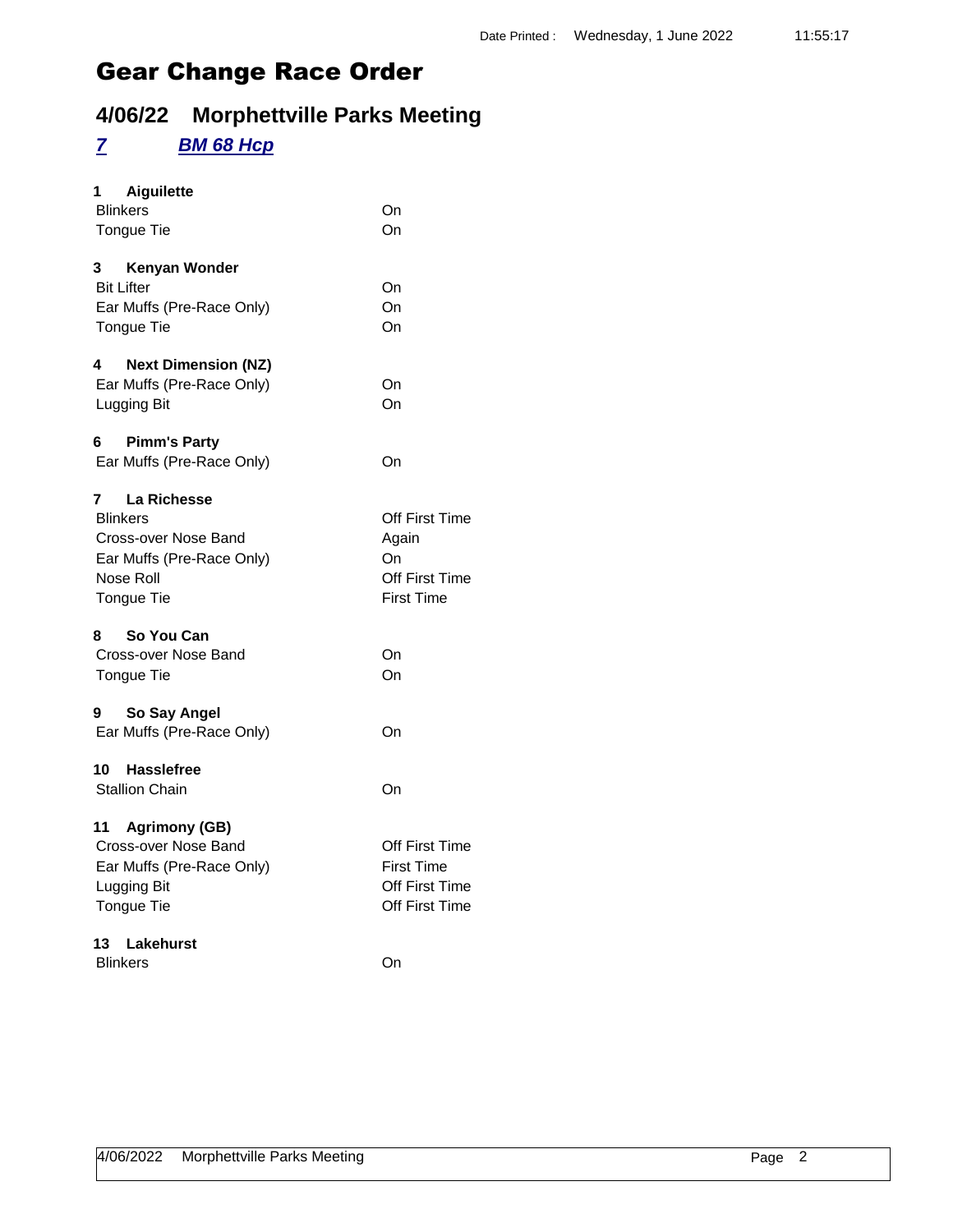## **4/06/22 Morphettville Parks Meeting**

#### *7 BM 68 Hcp*

| Aiguilette<br>1<br><b>Blinkers</b><br><b>Tongue Tie</b>                                                                    | On<br>On                                                                       |
|----------------------------------------------------------------------------------------------------------------------------|--------------------------------------------------------------------------------|
| 3<br>Kenyan Wonder<br><b>Bit Lifter</b><br>Ear Muffs (Pre-Race Only)<br>Tongue Tie                                         | On<br>On<br>On                                                                 |
| 4<br><b>Next Dimension (NZ)</b><br>Ear Muffs (Pre-Race Only)<br>Lugging Bit                                                | On<br>On                                                                       |
| 6<br><b>Pimm's Party</b><br>Ear Muffs (Pre-Race Only)                                                                      | On                                                                             |
| 7<br>La Richesse<br><b>Blinkers</b><br>Cross-over Nose Band<br>Ear Muffs (Pre-Race Only)<br>Nose Roll<br><b>Tongue Tie</b> | Off First Time<br>Again<br>On<br><b>Off First Time</b><br>First Time           |
| So You Can<br>8<br>Cross-over Nose Band<br>Tongue Tie                                                                      | On<br>On                                                                       |
| 9<br>So Say Angel<br>Ear Muffs (Pre-Race Only)                                                                             | On                                                                             |
| <b>Hasslefree</b><br>10<br><b>Stallion Chain</b>                                                                           | On                                                                             |
| 11 Agrimony (GB)<br>Cross-over Nose Band<br>Ear Muffs (Pre-Race Only)<br>Lugging Bit<br>Tongue Tie                         | Off First Time<br><b>First Time</b><br>Off First Time<br><b>Off First Time</b> |
| 13 <sup>7</sup><br>Lakehurst<br><b>Blinkers</b>                                                                            | On                                                                             |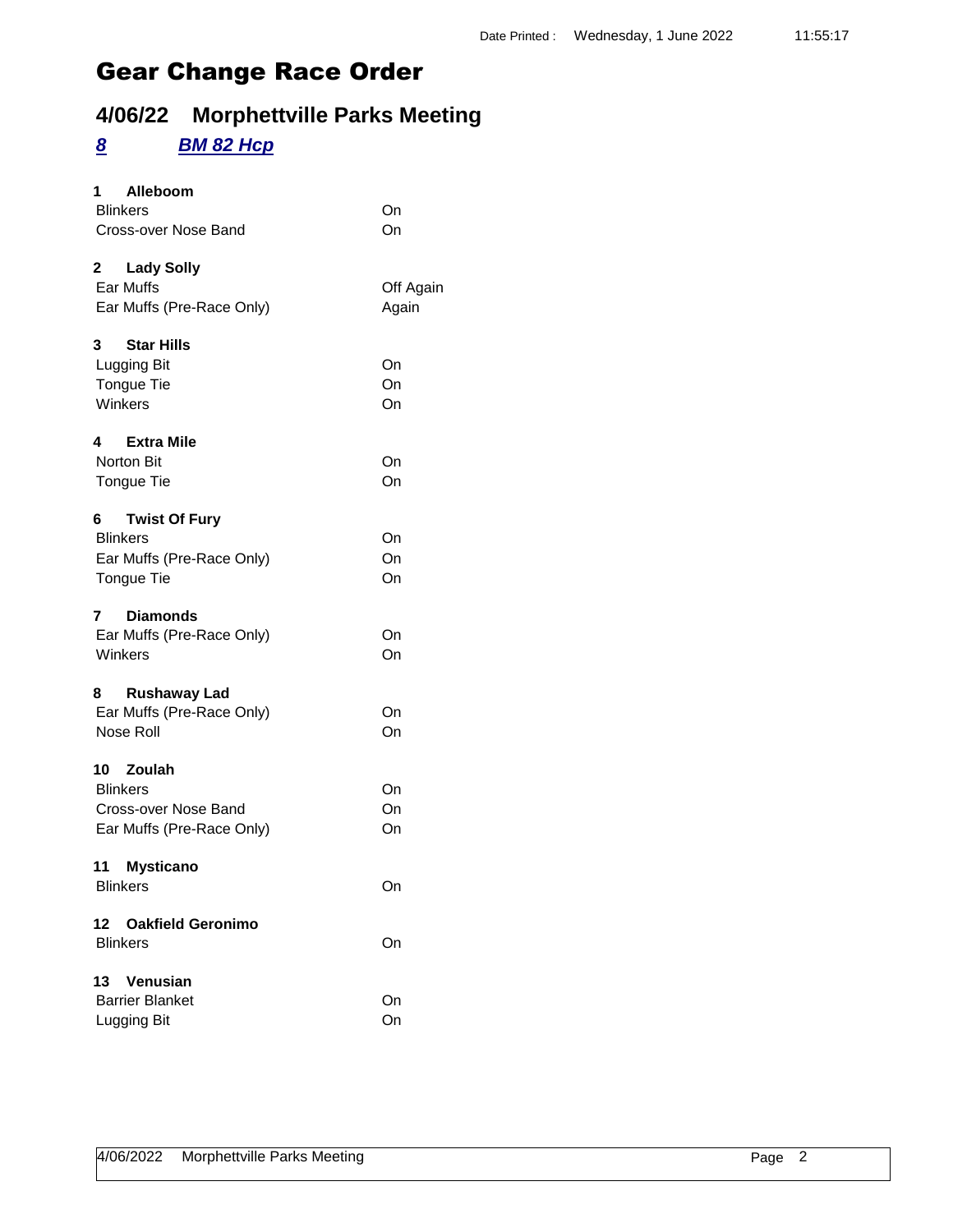## **4/06/22 Morphettville Parks Meeting**

#### *8 BM 82 Hcp*

| Alleboom<br>1                       |           |
|-------------------------------------|-----------|
| <b>Blinkers</b>                     | On<br>On  |
| Cross-over Nose Band                |           |
| $\mathbf{2}^-$<br><b>Lady Solly</b> |           |
| Ear Muffs                           | Off Again |
| Ear Muffs (Pre-Race Only)           | Again     |
| 3<br><b>Star Hills</b>              |           |
| Lugging Bit                         | On        |
| <b>Tongue Tie</b>                   | On        |
| Winkers                             | On        |
| <b>Extra Mile</b><br>4              |           |
| <b>Norton Bit</b>                   | On        |
| Tongue Tie                          | On        |
| <b>Twist Of Fury</b>                |           |
| <b>Blinkers</b>                     | On        |
| Ear Muffs (Pre-Race Only)           | On        |
| Tongue Tie                          | On        |
| <b>Diamonds</b><br>7                |           |
| Ear Muffs (Pre-Race Only)           | On        |
| Winkers                             | On        |
| 8<br><b>Rushaway Lad</b>            |           |
| Ear Muffs (Pre-Race Only)           | On        |
| Nose Roll                           | On        |
| 10 Zoulah                           |           |
| <b>Blinkers</b>                     | On        |
| Cross-over Nose Band                | On        |
| Ear Muffs (Pre-Race Only)           | On        |
| 11<br><b>Mysticano</b>              |           |
| <b>Blinkers</b>                     | On        |
| 12 Oakfield Geronimo                |           |
| <b>Blinkers</b>                     | On        |
| 13<br><b>Venusian</b>               |           |
| <b>Barrier Blanket</b>              | On        |
| Lugging Bit                         | On        |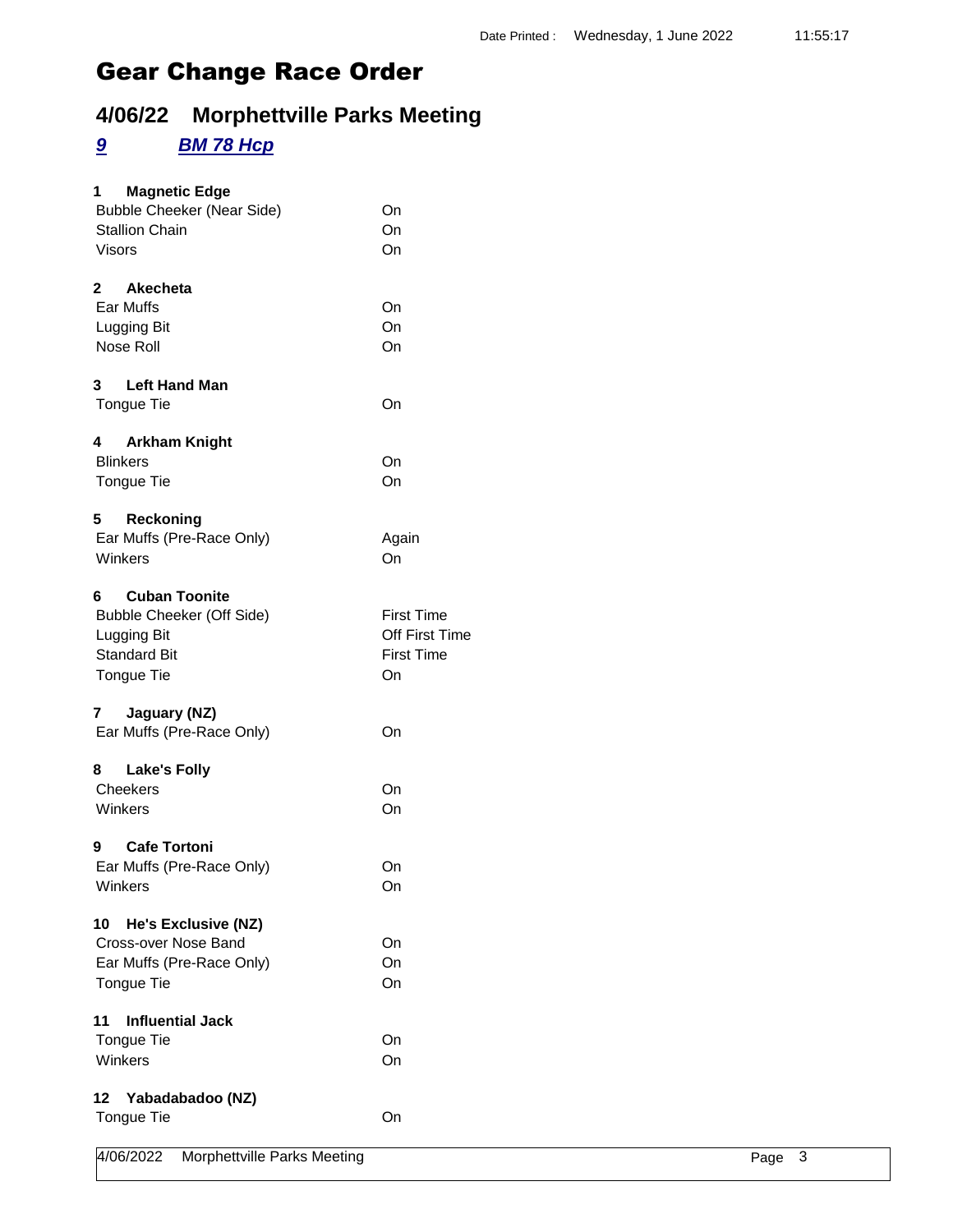## **4/06/22 Morphettville Parks Meeting**

#### *9 BM 78 Hcp*

| $1 \quad$<br><b>Magnetic Edge</b><br><b>Bubble Cheeker (Near Side)</b><br><b>Stallion Chain</b><br>Visors  | On<br>On<br>On                                                 |
|------------------------------------------------------------------------------------------------------------|----------------------------------------------------------------|
| 2 Akecheta<br>Ear Muffs<br>Lugging Bit<br>Nose Roll                                                        | On<br>On<br>On                                                 |
| 3<br><b>Left Hand Man</b><br>Tongue Tie                                                                    | On                                                             |
| <b>Arkham Knight</b><br>4<br><b>Blinkers</b><br><b>Tongue Tie</b>                                          | On<br>On                                                       |
| Reckoning<br>5<br>Ear Muffs (Pre-Race Only)<br>Winkers                                                     | Again<br>On                                                    |
| <b>Cuban Toonite</b><br>6<br>Bubble Cheeker (Off Side)<br>Lugging Bit<br><b>Standard Bit</b><br>Tongue Tie | <b>First Time</b><br>Off First Time<br><b>First Time</b><br>On |
| 7<br>Jaguary (NZ)<br>Ear Muffs (Pre-Race Only)                                                             | On                                                             |
| 8 -<br><b>Lake's Folly</b><br>Cheekers<br>Winkers                                                          | On<br>On                                                       |
| <b>Cafe Tortoni</b><br>9<br>Ear Muffs (Pre-Race Only)<br>Winkers                                           | On<br>On                                                       |
| 10<br>He's Exclusive (NZ)<br>Cross-over Nose Band<br>Ear Muffs (Pre-Race Only)<br>Tongue Tie               | On<br>On<br>On                                                 |
| <b>Influential Jack</b><br>11<br><b>Tongue Tie</b><br>Winkers                                              | On<br>On                                                       |
| 12 Yabadabadoo (NZ)<br>Tongue Tie                                                                          | On                                                             |